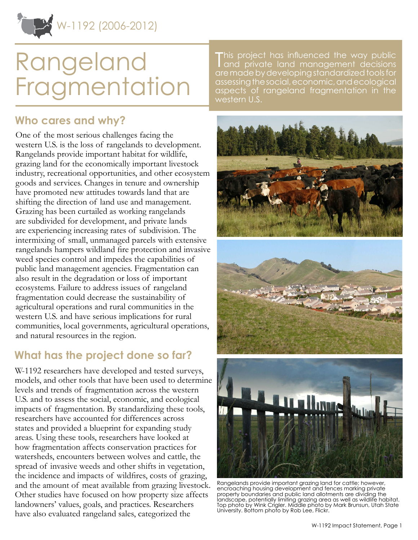

# Rangeland Fragmentation

### **Who cares and why?**

One of the most serious challenges facing the western U.S. is the loss of rangelands to development. Rangelands provide important habitat for wildlife, grazing land for the economically important livestock industry, recreational opportunities, and other ecosystem goods and services. Changes in tenure and ownership have promoted new attitudes towards land that are shifting the direction of land use and management. Grazing has been curtailed as working rangelands are subdivided for development, and private lands are experiencing increasing rates of subdivision. The intermixing of small, unmanaged parcels with extensive rangelands hampers wildland fire protection and invasive weed species control and impedes the capabilities of public land management agencies. Fragmentation can also result in the degradation or loss of important ecosystems. Failure to address issues of rangeland fragmentation could decrease the sustainability of agricultural operations and rural communities in the western U.S. and have serious implications for rural communities, local governments, agricultural operations, and natural resources in the region.

## **What has the project done so far?**

W-1192 researchers have developed and tested surveys, models, and other tools that have been used to determine levels and trends of fragmentation across the western U.S. and to assess the social, economic, and ecological impacts of fragmentation. By standardizing these tools, researchers have accounted for differences across states and provided a blueprint for expanding study areas. Using these tools, researchers have looked at how fragmentation affects conservation practices for watersheds, encounters between wolves and cattle, the spread of invasive weeds and other shifts in vegetation, the incidence and impacts of wildfires, costs of grazing, and the amount of meat available from grazing livestock. Other studies have focused on how property size affects landowners' values, goals, and practices. Researchers have also evaluated rangeland sales, categorized the

This project has influenced the way public<br>Tand private land management decisions and private land management decisions are made by developing standardized tools for assessing the social, economic, and ecological aspects of rangeland fragmentation in the western U.S.







Rangelands provide important grazing land for cattle; however, encroaching housing development and fences marking private property boundaries and public land allotments are dividing the landscape, potentially limiting grazing area as well as wildlife habitat. Top photo by Wink Crigler. Middle photo by Mark Brunsun, Utah State University. Bottom photo by Rob Lee, Flickr.